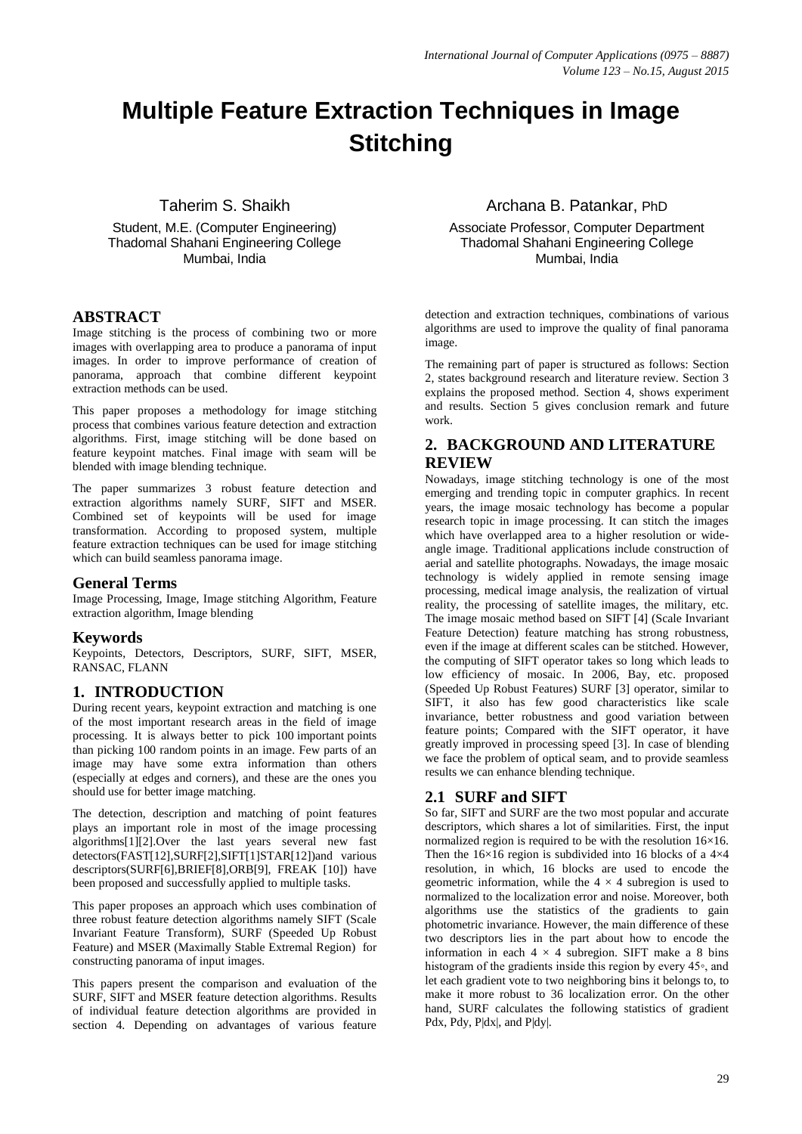# **Multiple Feature Extraction Techniques in Image Stitching**

# Taherim S. Shaikh

Student, M.E. (Computer Engineering) Thadomal Shahani Engineering College Mumbai, India

#### **ABSTRACT**

Image stitching is the process of combining two or more images with overlapping area to produce a panorama of input images. In order to improve performance of creation of panorama, approach that combine different keypoint extraction methods can be used.

This paper proposes a methodology for image stitching process that combines various feature detection and extraction algorithms. First, image stitching will be done based on feature keypoint matches. Final image with seam will be blended with image blending technique.

The paper summarizes 3 robust feature detection and extraction algorithms namely SURF, SIFT and MSER. Combined set of keypoints will be used for image transformation. According to proposed system, multiple feature extraction techniques can be used for image stitching which can build seamless panorama image.

#### **General Terms**

Image Processing, Image, Image stitching Algorithm, Feature extraction algorithm, Image blending

#### **Keywords**

Keypoints, Detectors, Descriptors, SURF, SIFT, MSER, RANSAC, FLANN

# **1. INTRODUCTION**

During recent years, keypoint extraction and matching is one of the most important research areas in the field of image processing. It is always better to pick 100 important points than picking 100 random points in an image. Few parts of an image may have some extra information than others (especially at edges and corners), and these are the ones you should use for better image matching.

The detection, description and matching of point features plays an important role in most of the image processing algorithms[1][2].Over the last years several new fast detectors(FAST[12],SURF[2],SIFT[1]STAR[12])and various descriptors(SURF[6],BRIEF[8],ORB[9], FREAK [10]) have been proposed and successfully applied to multiple tasks.

This paper proposes an approach which uses combination of three robust feature detection algorithms namely SIFT (Scale Invariant Feature Transform), SURF (Speeded Up Robust Feature) and MSER (Maximally Stable Extremal Region) for constructing panorama of input images.

This papers present the comparison and evaluation of the SURF, SIFT and MSER feature detection algorithms. Results of individual feature detection algorithms are provided in section 4. Depending on advantages of various feature

#### Archana B. Patankar, PhD

Associate Professor, Computer Department Thadomal Shahani Engineering College Mumbai, India

detection and extraction techniques, combinations of various algorithms are used to improve the quality of final panorama image.

The remaining part of paper is structured as follows: Section 2, states background research and literature review. Section 3 explains the proposed method. Section 4, shows experiment and results. Section 5 gives conclusion remark and future work.

# **2. BACKGROUND AND LITERATURE REVIEW**

Nowadays, image stitching technology is one of the most emerging and trending topic in computer graphics. In recent years, the image mosaic technology has become a popular research topic in image processing. It can stitch the images which have overlapped area to a higher resolution or wideangle image. Traditional applications include construction of aerial and satellite photographs. Nowadays, the image mosaic technology is widely applied in remote sensing image processing, medical image analysis, the realization of virtual reality, the processing of satellite images, the military, etc. The image mosaic method based on SIFT [4] (Scale Invariant Feature Detection) feature matching has strong robustness, even if the image at different scales can be stitched. However, the computing of SIFT operator takes so long which leads to low efficiency of mosaic. In 2006, Bay, etc. proposed (Speeded Up Robust Features) SURF [3] operator, similar to SIFT, it also has few good characteristics like scale invariance, better robustness and good variation between feature points; Compared with the SIFT operator, it have greatly improved in processing speed [3]. In case of blending we face the problem of optical seam, and to provide seamless results we can enhance blending technique.

# **2.1 SURF and SIFT**

So far, SIFT and SURF are the two most popular and accurate descriptors, which shares a lot of similarities. First, the input normalized region is required to be with the resolution 16×16. Then the  $16\times16$  region is subdivided into 16 blocks of a  $4\times4$ resolution, in which, 16 blocks are used to encode the geometric information, while the  $4 \times 4$  subregion is used to normalized to the localization error and noise. Moreover, both algorithms use the statistics of the gradients to gain photometric invariance. However, the main difference of these two descriptors lies in the part about how to encode the information in each  $4 \times 4$  subregion. SIFT make a 8 bins histogram of the gradients inside this region by every 45◦, and let each gradient vote to two neighboring bins it belongs to, to make it more robust to 36 localization error. On the other hand, SURF calculates the following statistics of gradient Pdx, Pdy, P|dx|, and P|dy|.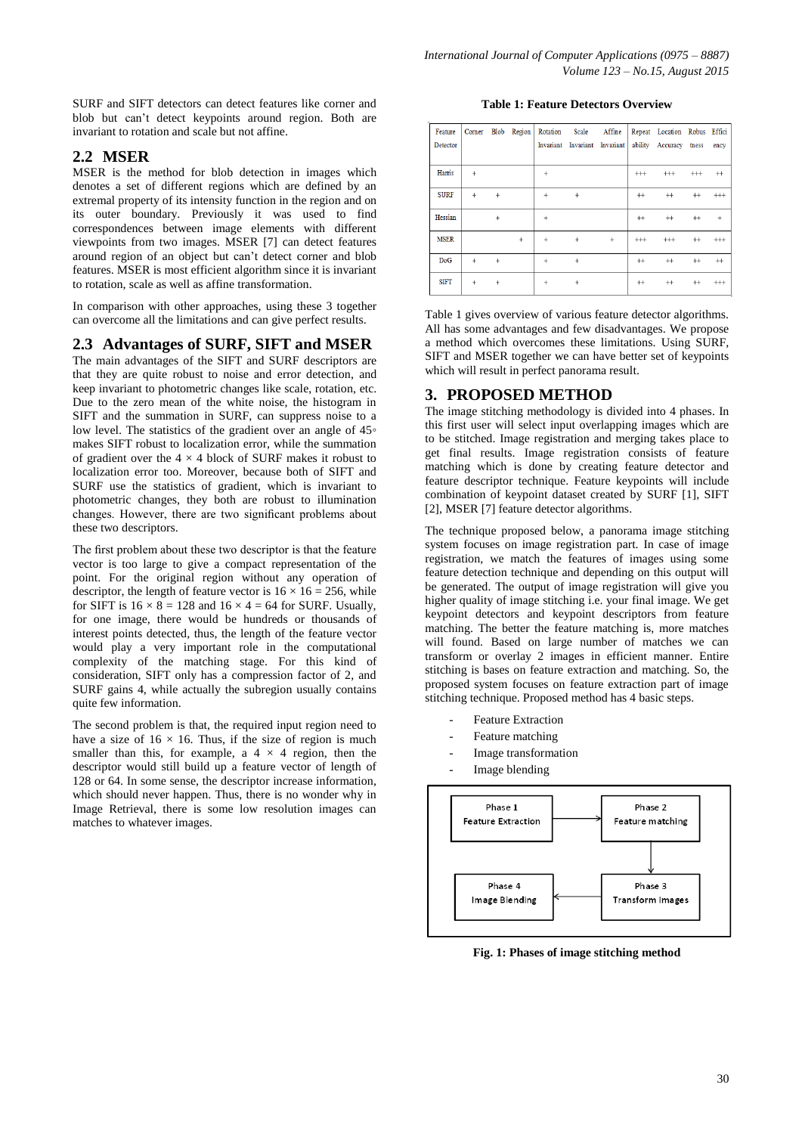SURF and SIFT detectors can detect features like corner and blob but can't detect keypoints around region. Both are invariant to rotation and scale but not affine.

#### **2.2 MSER**

MSER is the method for blob detection in images which denotes a set of different regions which are defined by an extremal property of its intensity function in the region and on its outer boundary. Previously it was used to find correspondences between image elements with different viewpoints from two images. MSER [7] can detect features around region of an object but can't detect corner and blob features. MSER is most efficient algorithm since it is invariant to rotation, scale as well as affine transformation.

In comparison with other approaches, using these 3 together can overcome all the limitations and can give perfect results.

#### **2.3 Advantages of SURF, SIFT and MSER**

The main advantages of the SIFT and SURF descriptors are that they are quite robust to noise and error detection, and keep invariant to photometric changes like scale, rotation, etc. Due to the zero mean of the white noise, the histogram in SIFT and the summation in SURF, can suppress noise to a low level. The statistics of the gradient over an angle of 45◦ makes SIFT robust to localization error, while the summation of gradient over the  $4 \times 4$  block of SURF makes it robust to localization error too. Moreover, because both of SIFT and SURF use the statistics of gradient, which is invariant to photometric changes, they both are robust to illumination changes. However, there are two significant problems about these two descriptors.

The first problem about these two descriptor is that the feature vector is too large to give a compact representation of the point. For the original region without any operation of descriptor, the length of feature vector is  $16 \times 16 = 256$ , while for SIFT is  $16 \times 8 = 128$  and  $16 \times 4 = 64$  for SURF. Usually, for one image, there would be hundreds or thousands of interest points detected, thus, the length of the feature vector would play a very important role in the computational complexity of the matching stage. For this kind of consideration, SIFT only has a compression factor of 2, and SURF gains 4, while actually the subregion usually contains quite few information.

The second problem is that, the required input region need to have a size of  $16 \times 16$ . Thus, if the size of region is much smaller than this, for example, a  $4 \times 4$  region, then the descriptor would still build up a feature vector of length of 128 or 64. In some sense, the descriptor increase information, which should never happen. Thus, there is no wonder why in Image Retrieval, there is some low resolution images can matches to whatever images.

**Table 1: Feature Detectors Overview**

| Feature<br>Detector |           |           | Corner Blob Region | Rotation  | Scale Affine<br>Invariant Invariant Invariant |        |          | Repeat Location Robus Effici<br>ability Accuracy tness |          | ency     |
|---------------------|-----------|-----------|--------------------|-----------|-----------------------------------------------|--------|----------|--------------------------------------------------------|----------|----------|
| Harris              | $\ddot{}$ |           |                    | ٠         |                                               |        | $^{+++}$ | $^{+++}$                                               | $^{+++}$ | $^{++}$  |
| <b>SURF</b>         | $^{+}$    | 4         |                    | $\ddot{}$ | $\ddot{}$                                     |        | $^{++}$  | $^{++}$                                                | $^{++}$  | $^{+++}$ |
| Hessian             |           | $\ddot{}$ |                    | ٠         |                                               |        | $^{++}$  | $^{++}$                                                | $^{++}$  | $+$      |
| <b>MSER</b>         |           |           | $^{+}$             | $\ddot{}$ | $+$                                           | $^{+}$ | $^{+++}$ | $^{+++}$                                               | $^{++}$  | $^{+++}$ |
| <b>DoG</b>          | $\ddot{}$ |           |                    |           | $\ddot{}$                                     |        | $^{++}$  | $^{++}$                                                | $^{++}$  | $^{++}$  |
| <b>SIFT</b>         | $^{+}$    |           |                    | ٠         | $\ddot{}$                                     |        | $^{++}$  | $^{++}$                                                | $^{++}$  | $^{+++}$ |

Table 1 gives overview of various feature detector algorithms. All has some advantages and few disadvantages. We propose a method which overcomes these limitations. Using SURF, SIFT and MSER together we can have better set of keypoints which will result in perfect panorama result.

#### **3. PROPOSED METHOD**

The image stitching methodology is divided into 4 phases. In this first user will select input overlapping images which are to be stitched. Image registration and merging takes place to get final results. Image registration consists of feature matching which is done by creating feature detector and feature descriptor technique. Feature keypoints will include combination of keypoint dataset created by SURF [1], SIFT [2], MSER [7] feature detector algorithms.

The technique proposed below, a panorama image stitching system focuses on image registration part. In case of image registration, we match the features of images using some feature detection technique and depending on this output will be generated. The output of image registration will give you higher quality of image stitching i.e. your final image. We get keypoint detectors and keypoint descriptors from feature matching. The better the feature matching is, more matches will found. Based on large number of matches we can transform or overlay 2 images in efficient manner. Entire stitching is bases on feature extraction and matching. So, the proposed system focuses on feature extraction part of image stitching technique. Proposed method has 4 basic steps.

- Feature Extraction
- Feature matching
- Image transformation
- Image blending



**Fig. 1: Phases of image stitching method**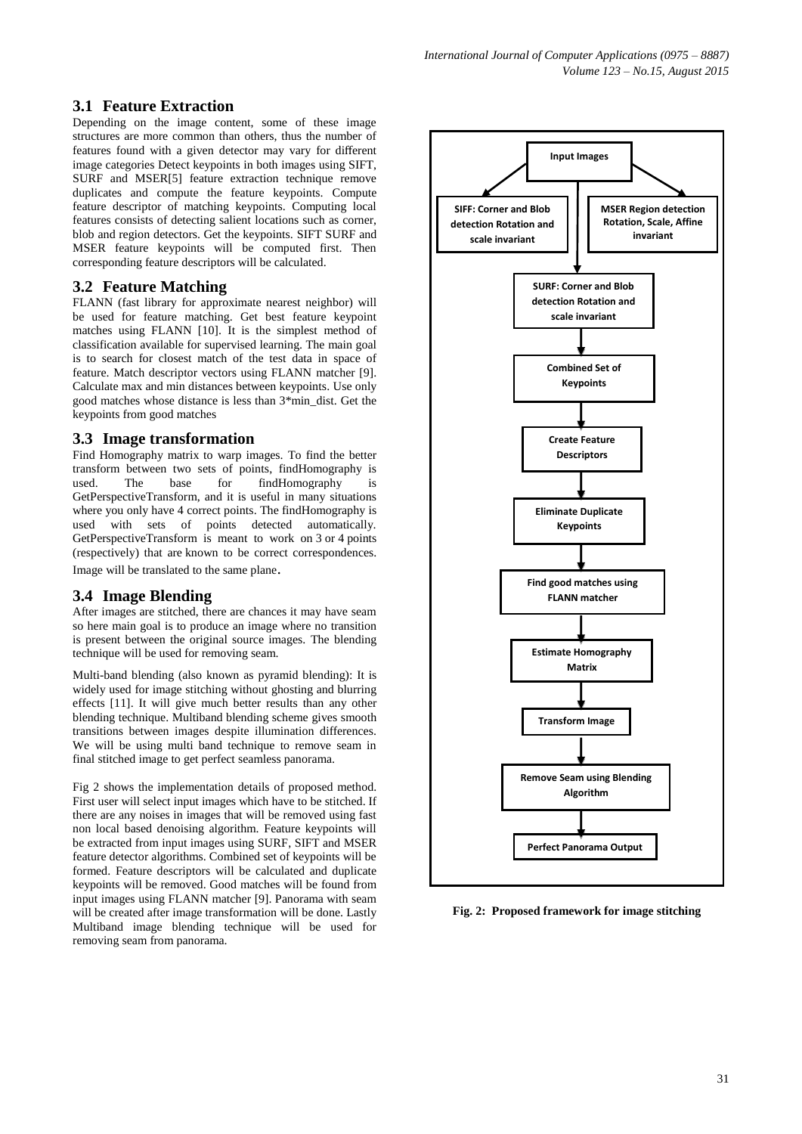#### **3.1 Feature Extraction**

Depending on the image content, some of these image structures are more common than others, thus the number of features found with a given detector may vary for different image categories Detect keypoints in both images using SIFT, SURF and MSER[5] feature extraction technique remove duplicates and compute the feature keypoints. Compute feature descriptor of matching keypoints. Computing local features consists of detecting salient locations such as corner, blob and region detectors. Get the keypoints. SIFT SURF and MSER feature keypoints will be computed first. Then corresponding feature descriptors will be calculated.

#### **3.2 Feature Matching**

FLANN (fast library for approximate nearest neighbor) will be used for feature matching. Get best feature keypoint matches using FLANN [10]. It is the simplest method of classification available for supervised learning. The main goal is to search for closest match of the test data in space of feature. Match descriptor vectors using FLANN matcher [9]. Calculate max and min distances between keypoints. Use only good matches whose distance is less than 3\*min\_dist. Get the keypoints from good matches

# **3.3 Image transformation**

Find Homography matrix to warp images. To find the better transform between two sets of points, findHomography is used. The base for findHomography is GetPerspectiveTransform, and it is useful in many situations where you only have 4 correct points. The findHomography is used with sets of points detected automatically. GetPerspectiveTransform is meant to work on 3 or 4 points (respectively) that are known to be correct correspondences. Image will be translated to the same plane.

# **3.4 Image Blending**

After images are stitched, there are chances it may have seam so here main goal is to produce an image where no transition is present between the original source images. The blending technique will be used for removing seam.

Multi-band blending (also known as pyramid blending): It is widely used for image stitching without ghosting and blurring effects [11]. It will give much better results than any other blending technique. Multiband blending scheme gives smooth transitions between images despite illumination differences. We will be using multi band technique to remove seam in final stitched image to get perfect seamless panorama.

Fig 2 shows the implementation details of proposed method. First user will select input images which have to be stitched. If there are any noises in images that will be removed using fast non local based denoising algorithm. Feature keypoints will be extracted from input images using SURF, SIFT and MSER feature detector algorithms. Combined set of keypoints will be formed. Feature descriptors will be calculated and duplicate keypoints will be removed. Good matches will be found from input images using FLANN matcher [9]. Panorama with seam will be created after image transformation will be done. Lastly Multiband image blending technique will be used for removing seam from panorama.



**Fig. 2: Proposed framework for image stitching**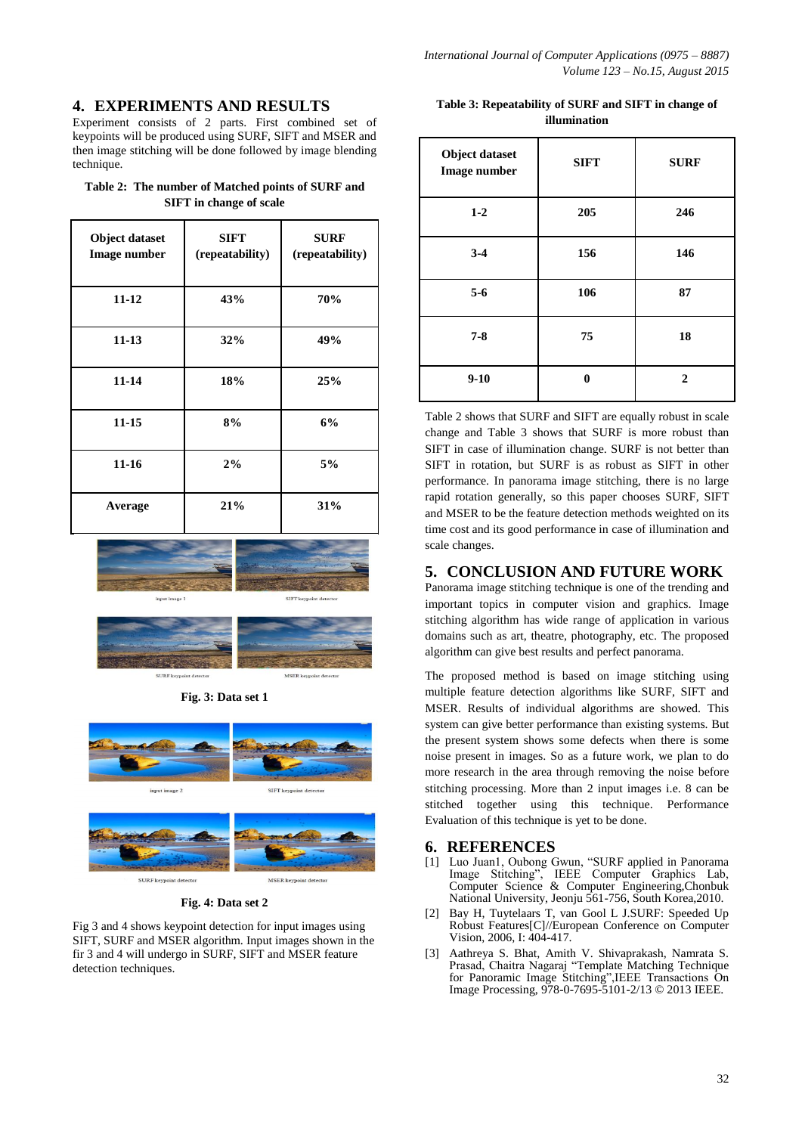# **4. EXPERIMENTS AND RESULTS**

Experiment consists of 2 parts. First combined set of keypoints will be produced using SURF, SIFT and MSER and then image stitching will be done followed by image blending technique.

**Table 2: The number of Matched points of SURF and SIFT in change of scale**

| <b>Object dataset</b><br><b>Image number</b> | <b>SIFT</b><br>(repeatability) | <b>SURF</b><br>(repeatability) |
|----------------------------------------------|--------------------------------|--------------------------------|
| $11 - 12$                                    | 43%                            | 70%                            |
| $11 - 13$                                    | 32%                            | 49%                            |
| $11 - 14$                                    | 18%                            | 25%                            |
| $11 - 15$                                    | 8%                             | 6%                             |
| $11 - 16$                                    | 2%                             | 5%                             |
| Average                                      | 21%                            | 31%                            |





**Fig. 3: Data set 1**



SURF keypoint detecto



**Fig. 4: Data set 2**

Fig 3 and 4 shows keypoint detection for input images using SIFT, SURF and MSER algorithm. Input images shown in the fir 3 and 4 will undergo in SURF, SIFT and MSER feature detection techniques.

| Table 3: Repeatability of SURF and SIFT in change of |
|------------------------------------------------------|
| illumination                                         |

| <b>Object dataset</b><br><b>Image number</b> | <b>SIFT</b> | <b>SURF</b>  |
|----------------------------------------------|-------------|--------------|
| $1-2$                                        | 205         | 246          |
| $3 - 4$                                      | 156         | 146          |
| $5 - 6$                                      | 106         | 87           |
| $7 - 8$                                      | 75          | 18           |
| $9-10$                                       | 0           | $\mathbf{2}$ |

Table 2 shows that SURF and SIFT are equally robust in scale change and Table 3 shows that SURF is more robust than SIFT in case of illumination change. SURF is not better than SIFT in rotation, but SURF is as robust as SIFT in other performance. In panorama image stitching, there is no large rapid rotation generally, so this paper chooses SURF, SIFT and MSER to be the feature detection methods weighted on its time cost and its good performance in case of illumination and scale changes.

#### **5. CONCLUSION AND FUTURE WORK**

Panorama image stitching technique is one of the trending and important topics in computer vision and graphics. Image stitching algorithm has wide range of application in various domains such as art, theatre, photography, etc. The proposed algorithm can give best results and perfect panorama.

The proposed method is based on image stitching using multiple feature detection algorithms like SURF, SIFT and MSER. Results of individual algorithms are showed. This system can give better performance than existing systems. But the present system shows some defects when there is some noise present in images. So as a future work, we plan to do more research in the area through removing the noise before stitching processing. More than 2 input images i.e. 8 can be stitched together using this technique. Performance Evaluation of this technique is yet to be done.

# **6. REFERENCES**

- [1] Luo Juan1, Oubong Gwun, "SURF applied in Panorama Image Stitching", IEEE Computer Graphics Lab, Computer Science & Computer Engineering,Chonbuk National University, Jeonju 561-756, South Korea,2010.
- [2] Bay H, Tuytelaars T, van Gool L J.SURF: Speeded Up Robust Features[C]//European Conference on Computer Vision, 2006, I: 404-417.
- [3] Aathreya S. Bhat, Amith V. Shivaprakash, Namrata S. Prasad, Chaitra Nagaraj "Template Matching Technique for Panoramic Image Stitching",IEEE Transactions On Image Processing, 978-0-7695-5101-2/13 © 2013 IEEE.